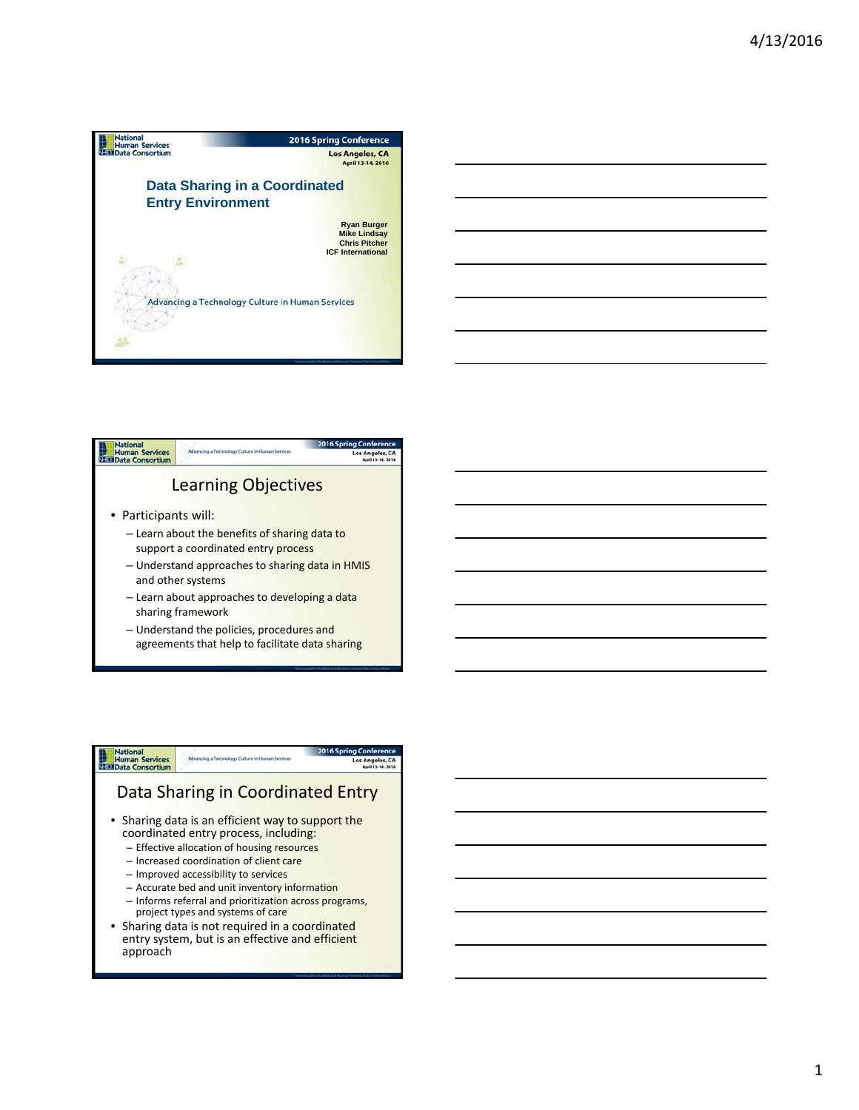



agreements that help to facilitate data sharing

# **National**<br>Human Services<br>Nata Data Consortium Data Sharing in Coordinated Entry

ing Con Los Angeles, CA

- Sharing data is an efficient way to support the coordinated entry process, including:
	- Effective allocation of housing resources
	- Increased coordination of client care
	- Improved accessibility to services
	- Accurate bed and unit inventory information
	- Informs referral and prioritization across programs, project types and systems of care
- Sharing data is not required in a coordinated entry system, but is an effective and efficient approach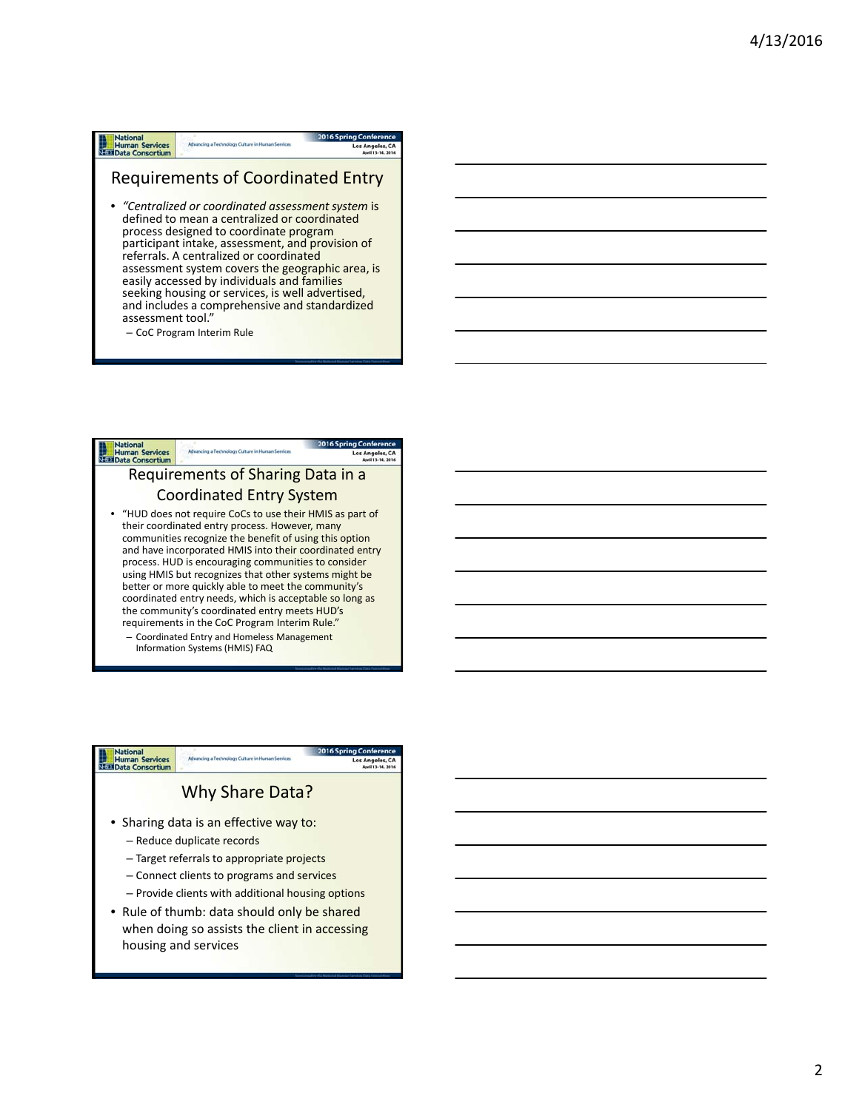### **National**<br>
Human Services<br>
Nata Consortium Advancing a Technology Culture in Human Services

### Requirements of Coordinated Entry

Los Angele

- *"Centralized or coordinated assessment system* is defined to mean a centralized or coordinated process designed to coordinate program participant intake, assessment, and provision of referrals. A centralized or coordinated assessment system covers the geographic area, is easily accessed by individuals and families seeking housing or services, is well advertised, and includes a comprehensive and standardized assessment tool."
	- CoC Program Interim Rule



Information Systems (HMIS) FAQ

### **National**<br>**Human Services**<br>**Max** Data Consortium Why Share Data? • Sharing data is an effective way to: – Reduce duplicate records – Target referrals to appropriate projects – Connect clients to programs and services – Provide clients with additional housing options • Rule of thumb: data should only be shared when doing so assists the client in accessing housing and services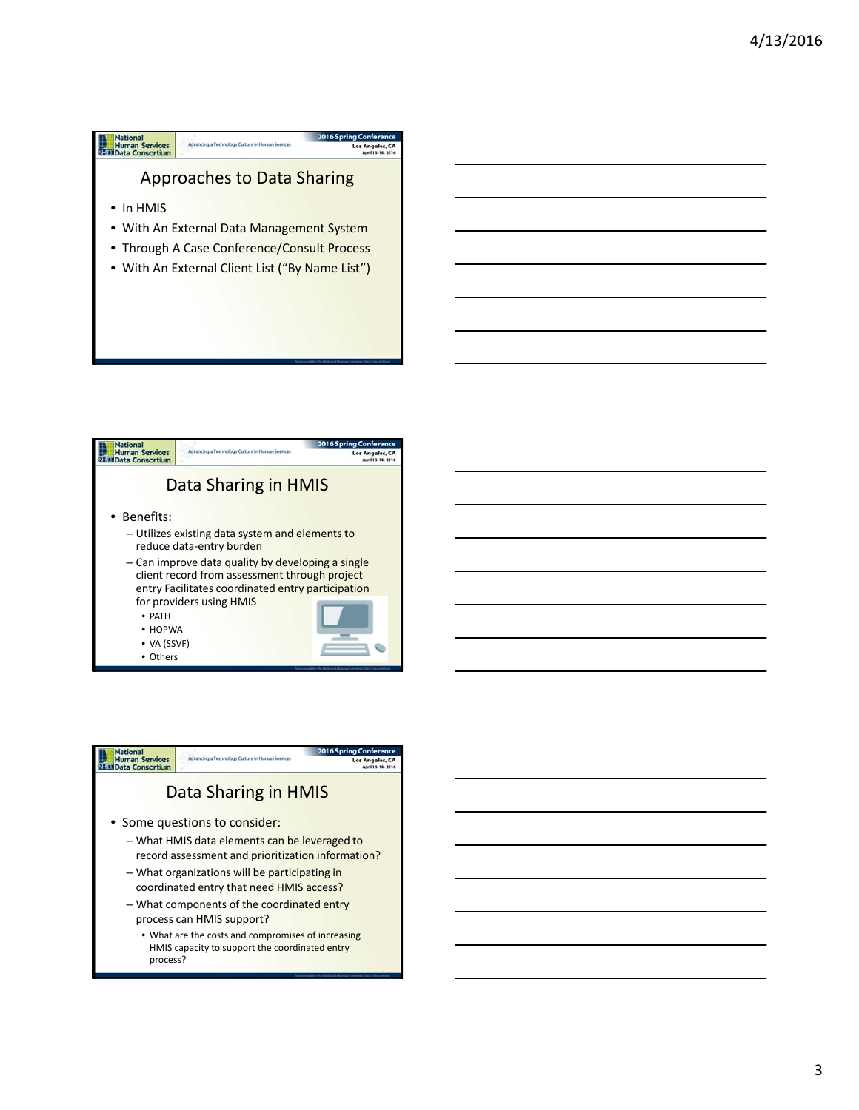



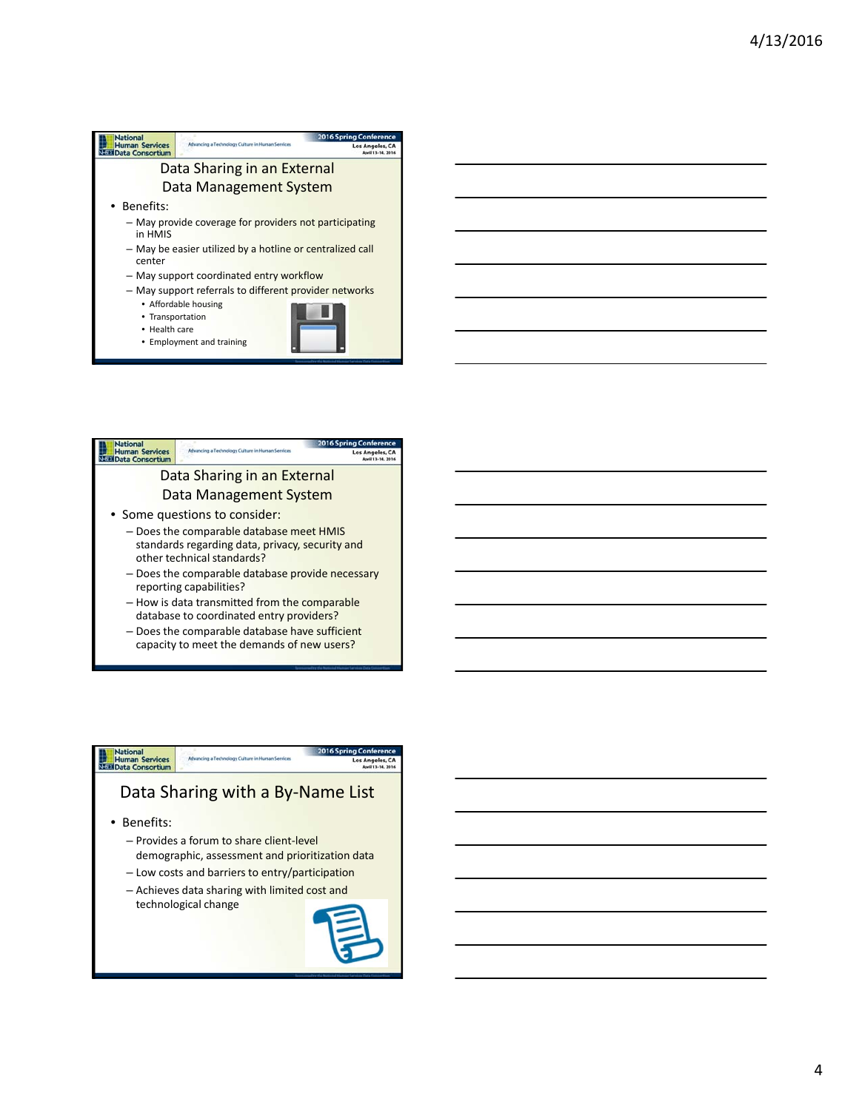



capacity to meet the demands of new users?

## National<br>Human Services<br>Nata Consortium Los Angeles, CA Data Sharing with a By‐Name List • Benefits: – Provides a forum to share client‐level

- demographic, assessment and prioritization data
- Low costs and barriers to entry/participation
- Achieves data sharing with limited cost and technological change

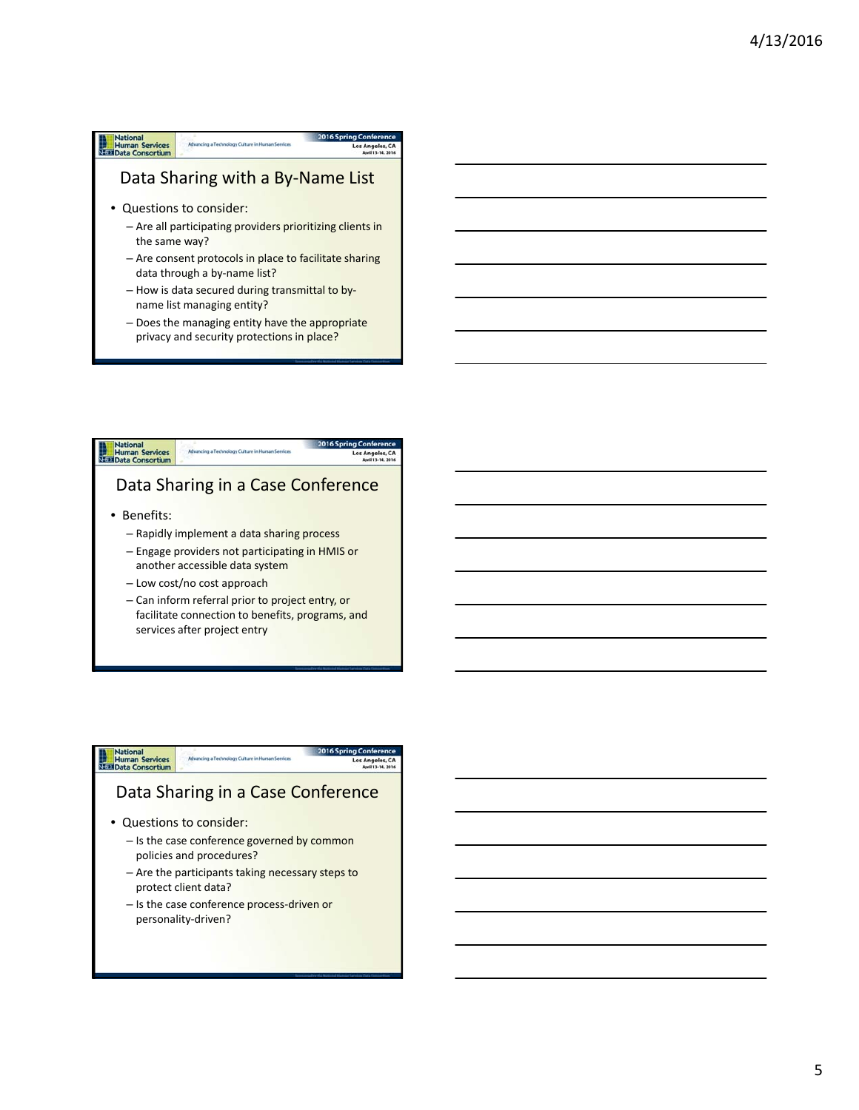# **National**<br> **Human Services**<br> **NEED** Data Consortium Los Angel Data Sharing with a By‐Name List • Questions to consider:

- Are all participating providers prioritizing clients in the same way?
- Are consent protocols in place to facilitate sharing data through a by-name list?
- How is data secured during transmittal to by‐ name list managing entity?
- Does the managing entity have the appropriate privacy and security protections in place?



# National<br>Human Services<br>Nati Data Consortium

### Data Sharing in a Case Conference

- Questions to consider:
	- Is the case conference governed by common policies and procedures?
	- Are the participants taking necessary steps to protect client data?
	- Is the case conference process-driven or personality‐driven?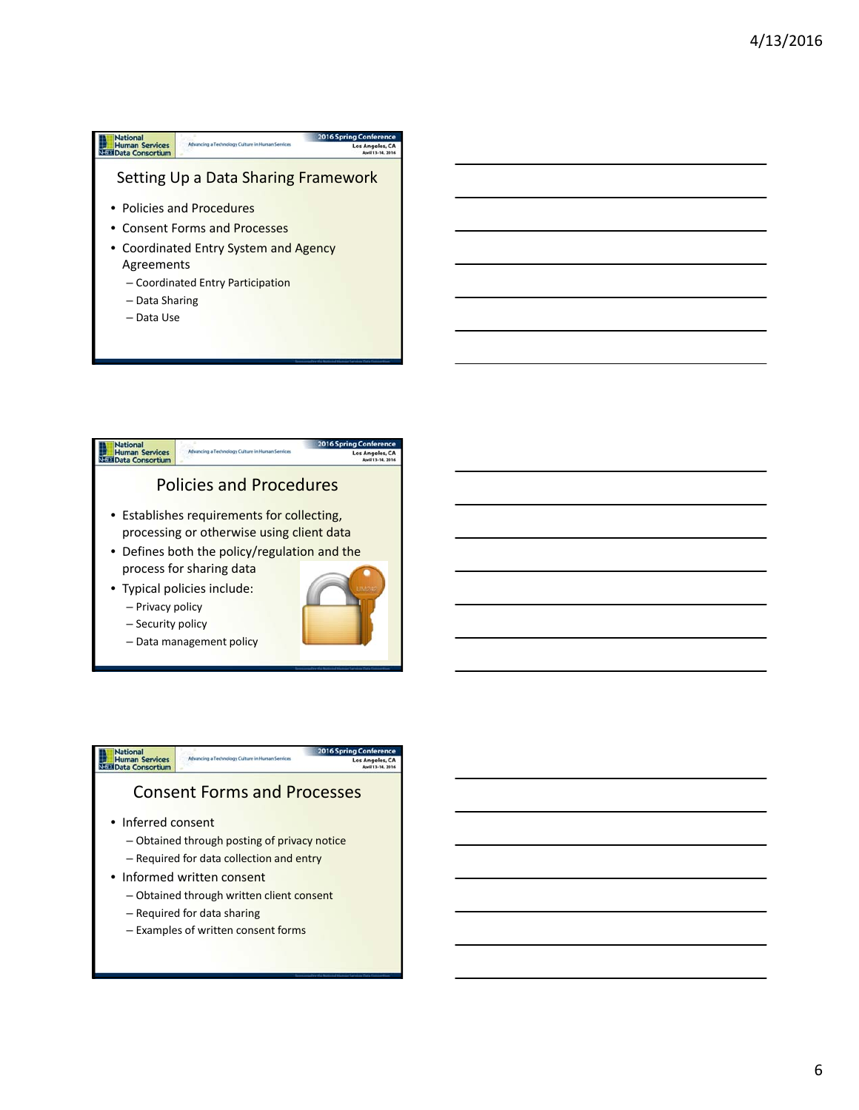#### **National**<br> **Human Services**<br> **NEED** Data Consortium 20165 Advancing a Technology Culture in Human Ser Los Ange Setting Up a Data Sharing Framework • Policies and Procedures • Consent Forms and Processes • Coordinated Entry System and Agency Agreements – Coordinated Entry Participation – Data Sharing – Data Use



– Data management policy



Los Angeles, CA

# National<br>Human Services<br>Nati Data Consortium

### Consent Forms and Processes

- Inferred consent
	- Obtained through posting of privacy notice – Required for data collection and entry
- Informed written consent
	- Obtained through written client consent
	- Required for data sharing
	- Examples of written consent forms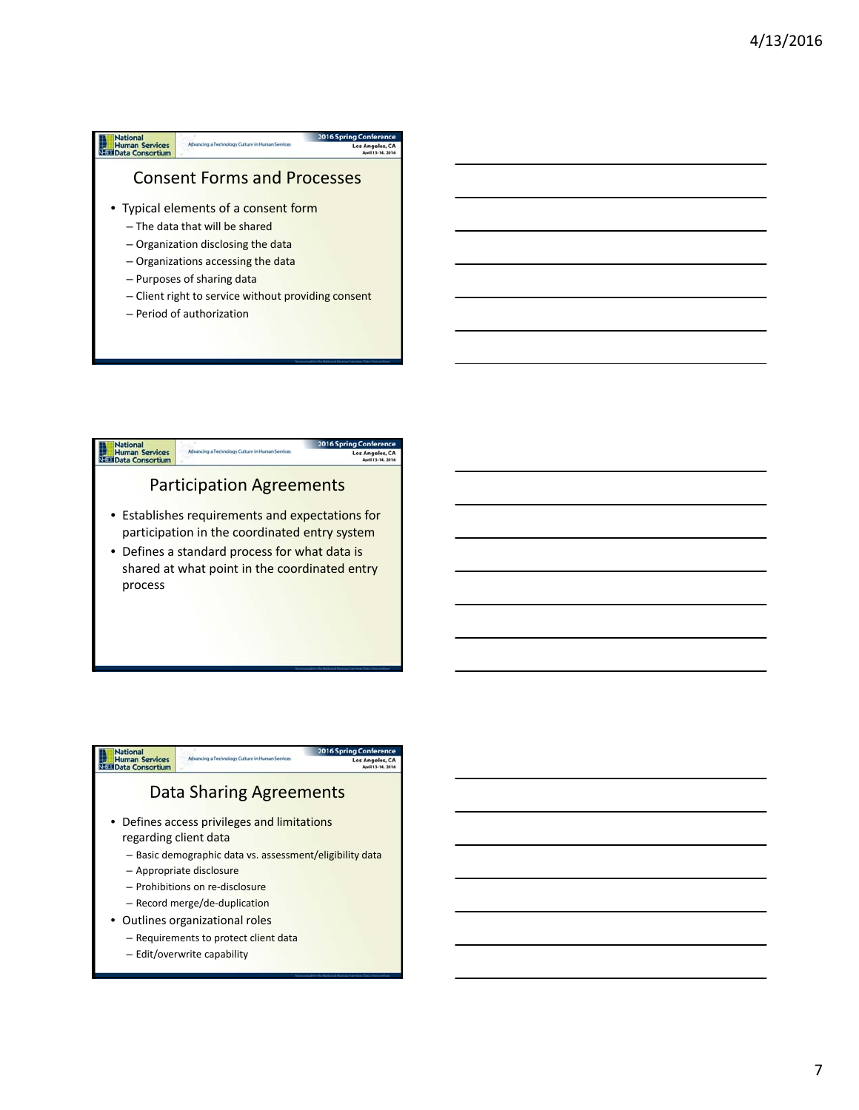





7